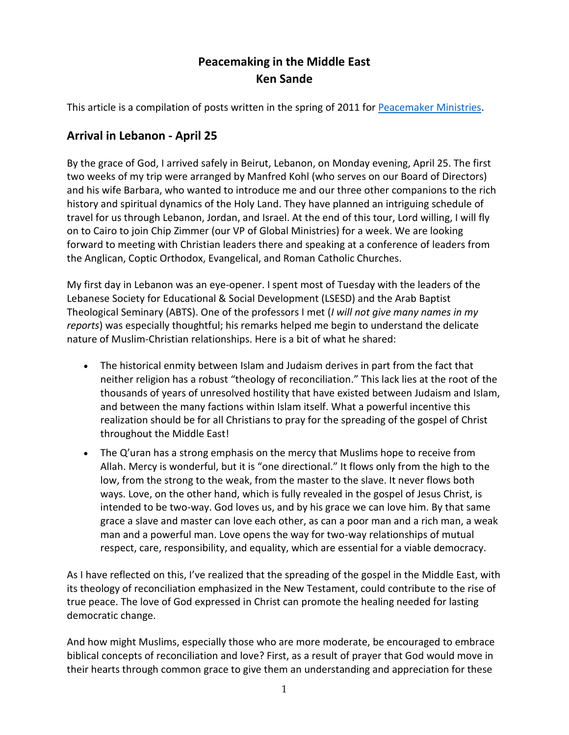# **Peacemaking in the Middle East Ken Sande**

This article is a compilation of posts written in the spring of 2011 for [Peacemaker Ministries.](http://www.peacemaker.net/)

## **Arrival in Lebanon - April 25**

By the grace of God, I arrived safely in Beirut, Lebanon, on Monday evening, April 25. The first two weeks of my trip were arranged by Manfred Kohl (who serves on our Board of Directors) and his wife Barbara, who wanted to introduce me and our three other companions to the rich history and spiritual dynamics of the Holy Land. They have planned an intriguing schedule of travel for us through Lebanon, Jordan, and Israel. At the end of this tour, Lord willing, I will fly on to Cairo to join Chip Zimmer (our VP of Global Ministries) for a week. We are looking forward to meeting with Christian leaders there and speaking at a conference of leaders from the Anglican, Coptic Orthodox, Evangelical, and Roman Catholic Churches.

My first day in Lebanon was an eye-opener. I spent most of Tuesday with the leaders of the Lebanese Society for Educational & Social Development (LSESD) and the Arab Baptist Theological Seminary (ABTS). One of the professors I met (*I will not give many names in my reports*) was especially thoughtful; his remarks helped me begin to understand the delicate nature of Muslim-Christian relationships. Here is a bit of what he shared:

- The historical enmity between Islam and Judaism derives in part from the fact that neither religion has a robust "theology of reconciliation." This lack lies at the root of the thousands of years of unresolved hostility that have existed between Judaism and Islam, and between the many factions within Islam itself. What a powerful incentive this realization should be for all Christians to pray for the spreading of the gospel of Christ throughout the Middle East!
- The Q'uran has a strong emphasis on the mercy that Muslims hope to receive from Allah. Mercy is wonderful, but it is "one directional." It flows only from the high to the low, from the strong to the weak, from the master to the slave. It never flows both ways. Love, on the other hand, which is fully revealed in the gospel of Jesus Christ, is intended to be two-way. God loves us, and by his grace we can love him. By that same grace a slave and master can love each other, as can a poor man and a rich man, a weak man and a powerful man. Love opens the way for two-way relationships of mutual respect, care, responsibility, and equality, which are essential for a viable democracy.

As I have reflected on this, I've realized that the spreading of the gospel in the Middle East, with its theology of reconciliation emphasized in the New Testament, could contribute to the rise of true peace. The love of God expressed in Christ can promote the healing needed for lasting democratic change.

And how might Muslims, especially those who are more moderate, be encouraged to embrace biblical concepts of reconciliation and love? First, as a result of prayer that God would move in their hearts through common grace to give them an understanding and appreciation for these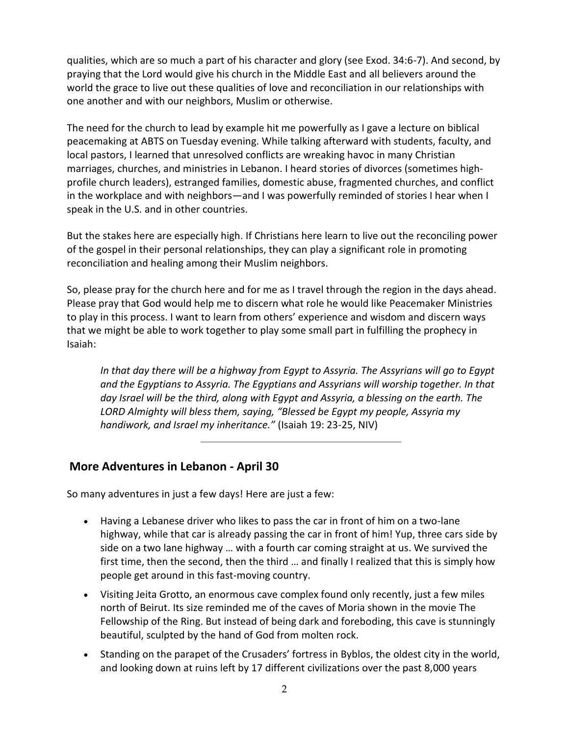qualities, which are so much a part of his character and glory (see Exod. 34:6-7). And second, by praying that the Lord would give his church in the Middle East and all believers around the world the grace to live out these qualities of love and reconciliation in our relationships with one another and with our neighbors, Muslim or otherwise.

The need for the church to lead by example hit me powerfully as I gave a lecture on biblical peacemaking at ABTS on Tuesday evening. While talking afterward with students, faculty, and local pastors, I learned that unresolved conflicts are wreaking havoc in many Christian marriages, churches, and ministries in Lebanon. I heard stories of divorces (sometimes highprofile church leaders), estranged families, domestic abuse, fragmented churches, and conflict in the workplace and with neighbors—and I was powerfully reminded of stories I hear when I speak in the U.S. and in other countries.

But the stakes here are especially high. If Christians here learn to live out the reconciling power of the gospel in their personal relationships, they can play a significant role in promoting reconciliation and healing among their Muslim neighbors.

So, please pray for the church here and for me as I travel through the region in the days ahead. Please pray that God would help me to discern what role he would like Peacemaker Ministries to play in this process. I want to learn from others' experience and wisdom and discern ways that we might be able to work together to play some small part in fulfilling the prophecy in Isaiah:

*In that day there will be a highway from Egypt to Assyria. The Assyrians will go to Egypt and the Egyptians to Assyria. The Egyptians and Assyrians will worship together. In that day Israel will be the third, along with Egypt and Assyria, a blessing on the earth. The LORD Almighty will bless them, saying, "Blessed be Egypt my people, Assyria my handiwork, and Israel my inheritance."* (Isaiah 19: 23-25, NIV)

## **More Adventures in Lebanon - April 30**

So many adventures in just a few days! Here are just a few:

- Having a Lebanese driver who likes to pass the car in front of him on a two-lane highway, while that car is already passing the car in front of him! Yup, three cars side by side on a two lane highway … with a fourth car coming straight at us. We survived the first time, then the second, then the third … and finally I realized that this is simply how people get around in this fast-moving country.
- Visiting Jeita Grotto, an enormous cave complex found only recently, just a few miles north of Beirut. Its size reminded me of the caves of Moria shown in the movie The Fellowship of the Ring. But instead of being dark and foreboding, this cave is stunningly beautiful, sculpted by the hand of God from molten rock.
- Standing on the parapet of the Crusaders' fortress in Byblos, the oldest city in the world, and looking down at ruins left by 17 different civilizations over the past 8,000 years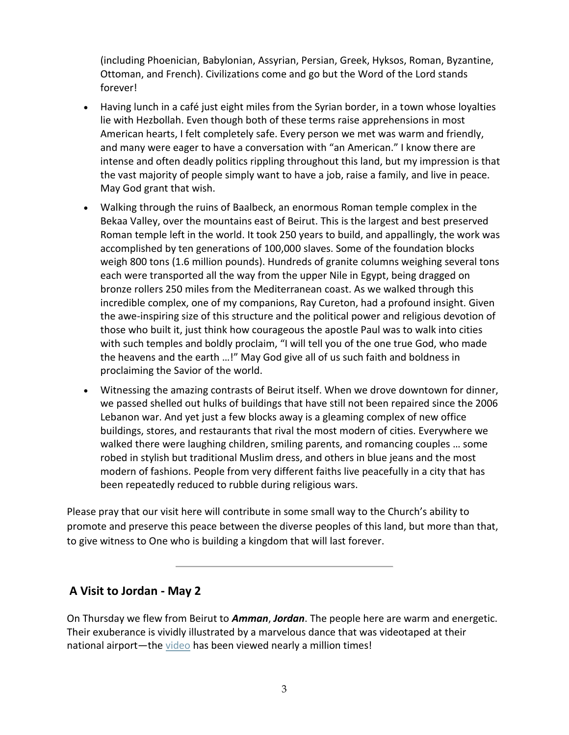(including Phoenician, Babylonian, Assyrian, Persian, Greek, Hyksos, Roman, Byzantine, Ottoman, and French). Civilizations come and go but the Word of the Lord stands forever!

- Having lunch in a café just eight miles from the Syrian border, in a town whose loyalties lie with Hezbollah. Even though both of these terms raise apprehensions in most American hearts, I felt completely safe. Every person we met was warm and friendly, and many were eager to have a conversation with "an American." I know there are intense and often deadly politics rippling throughout this land, but my impression is that the vast majority of people simply want to have a job, raise a family, and live in peace. May God grant that wish.
- Walking through the ruins of Baalbeck, an enormous Roman temple complex in the Bekaa Valley, over the mountains east of Beirut. This is the largest and best preserved Roman temple left in the world. It took 250 years to build, and appallingly, the work was accomplished by ten generations of 100,000 slaves. Some of the foundation blocks weigh 800 tons (1.6 million pounds). Hundreds of granite columns weighing several tons each were transported all the way from the upper Nile in Egypt, being dragged on bronze rollers 250 miles from the Mediterranean coast. As we walked through this incredible complex, one of my companions, Ray Cureton, had a profound insight. Given the awe-inspiring size of this structure and the political power and religious devotion of those who built it, just think how courageous the apostle Paul was to walk into cities with such temples and boldly proclaim, "I will tell you of the one true God, who made the heavens and the earth …!" May God give all of us such faith and boldness in proclaiming the Savior of the world.
- Witnessing the amazing contrasts of Beirut itself. When we drove downtown for dinner, we passed shelled out hulks of buildings that have still not been repaired since the 2006 Lebanon war. And yet just a few blocks away is a gleaming complex of new office buildings, stores, and restaurants that rival the most modern of cities. Everywhere we walked there were laughing children, smiling parents, and romancing couples … some robed in stylish but traditional Muslim dress, and others in blue jeans and the most modern of fashions. People from very different faiths live peacefully in a city that has been repeatedly reduced to rubble during religious wars.

Please pray that our visit here will contribute in some small way to the Church's ability to promote and preserve this peace between the diverse peoples of this land, but more than that, to give witness to One who is building a kingdom that will last forever.

#### **A Visit to Jordan - May 2**

On Thursday we flew from Beirut to *Amman*, *Jordan*. The people here are warm and energetic. Their exuberance is vividly illustrated by a marvelous dance that was videotaped at their national airport—the [video](http://www.youtube.com/watch?v=VEp29GS1VXI&feature=related) has been viewed nearly a million times!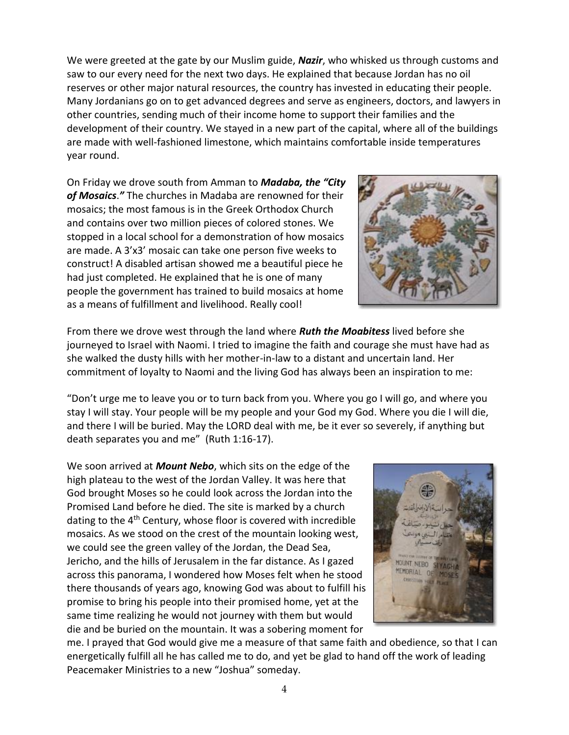We were greeted at the gate by our Muslim guide, *Nazir*, who whisked us through customs and saw to our every need for the next two days. He explained that because Jordan has no oil reserves or other major natural resources, the country has invested in educating their people. Many Jordanians go on to get advanced degrees and serve as engineers, doctors, and lawyers in other countries, sending much of their income home to support their families and the development of their country. We stayed in a new part of the capital, where all of the buildings are made with well-fashioned limestone, which maintains comfortable inside temperatures year round.

On Friday we drove south from Amman to *Madaba, the "City of Mosaics*.*"* The churches in Madaba are renowned for their mosaics; the most famous is in the Greek Orthodox Church and contains over two million pieces of colored stones. We stopped in a local school for a demonstration of how mosaics are made. A 3'x3' mosaic can take one person five weeks to construct! A disabled artisan showed me a beautiful piece he had just completed. He explained that he is one of many people the government has trained to build mosaics at home as a means of fulfillment and livelihood. Really cool!



From there we drove west through the land where *Ruth the Moabitess* lived before she journeyed to Israel with Naomi. I tried to imagine the faith and courage she must have had as she walked the dusty hills with her mother-in-law to a distant and uncertain land. Her commitment of loyalty to Naomi and the living God has always been an inspiration to me:

"Don't urge me to leave you or to turn back from you. Where you go I will go, and where you stay I will stay. Your people will be my people and your God my God. Where you die I will die, and there I will be buried. May the LORD deal with me, be it ever so severely, if anything but death separates you and me" (Ruth 1:16-17).

We soon arrived at *Mount Nebo*, which sits on the edge of the high plateau to the west of the Jordan Valley. It was here that God brought Moses so he could look across the Jordan into the Promised Land before he died. The site is marked by a church dating to the 4<sup>th</sup> Century, whose floor is covered with incredible mosaics. As we stood on the crest of the mountain looking west, we could see the green valley of the Jordan, the Dead Sea, Jericho, and the hills of Jerusalem in the far distance. As I gazed across this panorama, I wondered how Moses felt when he stood there thousands of years ago, knowing God was about to fulfill his promise to bring his people into their promised home, yet at the same time realizing he would not journey with them but would die and be buried on the mountain. It was a sobering moment for



me. I prayed that God would give me a measure of that same faith and obedience, so that I can energetically fulfill all he has called me to do, and yet be glad to hand off the work of leading Peacemaker Ministries to a new "Joshua" someday.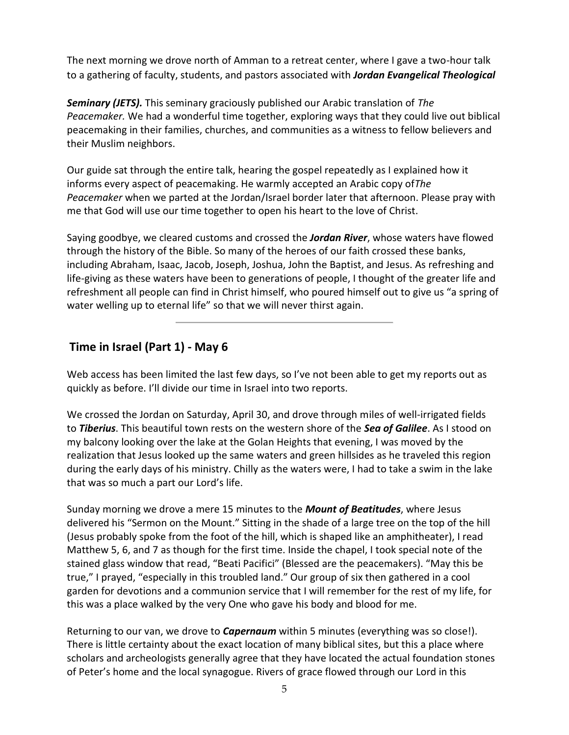The next morning we drove north of Amman to a retreat center, where I gave a two-hour talk to a gathering of faculty, students, and pastors associated with *Jordan Evangelical Theological*

*Seminary (JETS).* This seminary graciously published our Arabic translation of *The Peacemaker.* We had a wonderful time together, exploring ways that they could live out biblical peacemaking in their families, churches, and communities as a witness to fellow believers and their Muslim neighbors.

Our guide sat through the entire talk, hearing the gospel repeatedly as I explained how it informs every aspect of peacemaking. He warmly accepted an Arabic copy of*The Peacemaker* when we parted at the Jordan/Israel border later that afternoon. Please pray with me that God will use our time together to open his heart to the love of Christ.

Saying goodbye, we cleared customs and crossed the *Jordan River*, whose waters have flowed through the history of the Bible. So many of the heroes of our faith crossed these banks, including Abraham, Isaac, Jacob, Joseph, Joshua, John the Baptist, and Jesus. As refreshing and life-giving as these waters have been to generations of people, I thought of the greater life and refreshment all people can find in Christ himself, who poured himself out to give us "a spring of water welling up to eternal life" so that we will never thirst again.

## **Time in Israel (Part 1) - May 6**

Web access has been limited the last few days, so I've not been able to get my reports out as quickly as before. I'll divide our time in Israel into two reports.

We crossed the Jordan on Saturday, April 30, and drove through miles of well-irrigated fields to *Tiberius*. This beautiful town rests on the western shore of the *Sea of Galilee*. As I stood on my balcony looking over the lake at the Golan Heights that evening, I was moved by the realization that Jesus looked up the same waters and green hillsides as he traveled this region during the early days of his ministry. Chilly as the waters were, I had to take a swim in the lake that was so much a part our Lord's life.

Sunday morning we drove a mere 15 minutes to the *Mount of Beatitudes*, where Jesus delivered his "Sermon on the Mount." Sitting in the shade of a large tree on the top of the hill (Jesus probably spoke from the foot of the hill, which is shaped like an amphitheater), I read Matthew 5, 6, and 7 as though for the first time. Inside the chapel, I took special note of the stained glass window that read, "Beati Pacifici" (Blessed are the peacemakers). "May this be true," I prayed, "especially in this troubled land." Our group of six then gathered in a cool garden for devotions and a communion service that I will remember for the rest of my life, for this was a place walked by the very One who gave his body and blood for me.

Returning to our van, we drove to *Capernaum* within 5 minutes (everything was so close!). There is little certainty about the exact location of many biblical sites, but this a place where scholars and archeologists generally agree that they have located the actual foundation stones of Peter's home and the local synagogue. Rivers of grace flowed through our Lord in this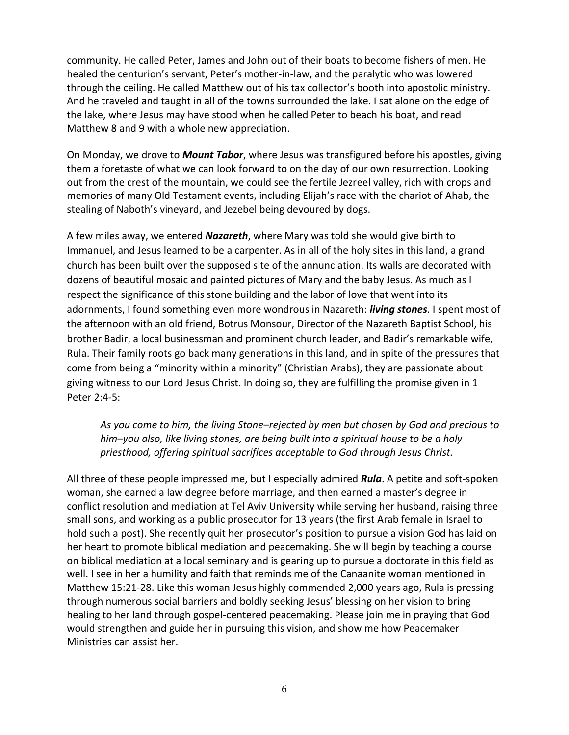community. He called Peter, James and John out of their boats to become fishers of men. He healed the centurion's servant, Peter's mother-in-law, and the paralytic who was lowered through the ceiling. He called Matthew out of his tax collector's booth into apostolic ministry. And he traveled and taught in all of the towns surrounded the lake. I sat alone on the edge of the lake, where Jesus may have stood when he called Peter to beach his boat, and read Matthew 8 and 9 with a whole new appreciation.

On Monday, we drove to *Mount Tabor*, where Jesus was transfigured before his apostles, giving them a foretaste of what we can look forward to on the day of our own resurrection. Looking out from the crest of the mountain, we could see the fertile Jezreel valley, rich with crops and memories of many Old Testament events, including Elijah's race with the chariot of Ahab, the stealing of Naboth's vineyard, and Jezebel being devoured by dogs.

A few miles away, we entered *Nazareth*, where Mary was told she would give birth to Immanuel, and Jesus learned to be a carpenter. As in all of the holy sites in this land, a grand church has been built over the supposed site of the annunciation. Its walls are decorated with dozens of beautiful mosaic and painted pictures of Mary and the baby Jesus. As much as I respect the significance of this stone building and the labor of love that went into its adornments, I found something even more wondrous in Nazareth: *living stones*. I spent most of the afternoon with an old friend, Botrus Monsour, Director of the Nazareth Baptist School, his brother Badir, a local businessman and prominent church leader, and Badir's remarkable wife, Rula. Their family roots go back many generations in this land, and in spite of the pressures that come from being a "minority within a minority" (Christian Arabs), they are passionate about giving witness to our Lord Jesus Christ. In doing so, they are fulfilling the promise given in 1 Peter 2:4-5:

*As you come to him, the living Stone–rejected by men but chosen by God and precious to him–you also, like living stones, are being built into a spiritual house to be a holy priesthood, offering spiritual sacrifices acceptable to God through Jesus Christ.*

All three of these people impressed me, but I especially admired *Rula*. A petite and soft-spoken woman, she earned a law degree before marriage, and then earned a master's degree in conflict resolution and mediation at Tel Aviv University while serving her husband, raising three small sons, and working as a public prosecutor for 13 years (the first Arab female in Israel to hold such a post). She recently quit her prosecutor's position to pursue a vision God has laid on her heart to promote biblical mediation and peacemaking. She will begin by teaching a course on biblical mediation at a local seminary and is gearing up to pursue a doctorate in this field as well. I see in her a humility and faith that reminds me of the Canaanite woman mentioned in Matthew 15:21-28. Like this woman Jesus highly commended 2,000 years ago, Rula is pressing through numerous social barriers and boldly seeking Jesus' blessing on her vision to bring healing to her land through gospel-centered peacemaking. Please join me in praying that God would strengthen and guide her in pursuing this vision, and show me how Peacemaker Ministries can assist her.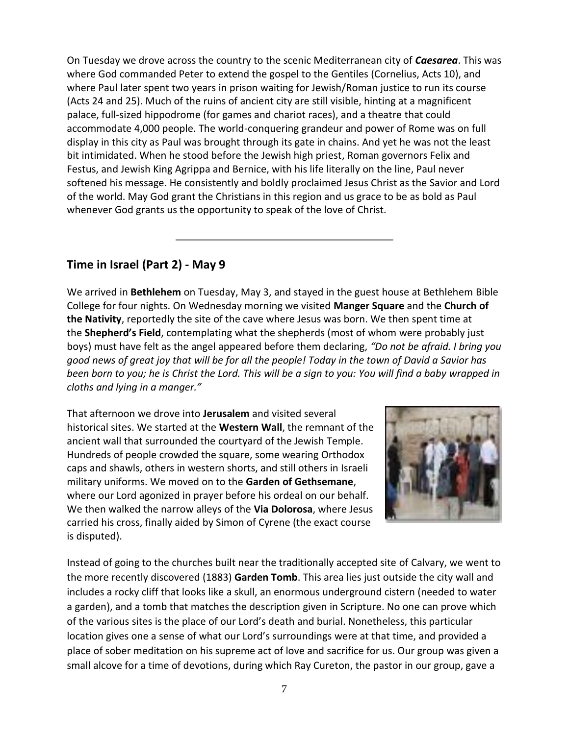On Tuesday we drove across the country to the scenic Mediterranean city of *Caesarea*. This was where God commanded Peter to extend the gospel to the Gentiles (Cornelius, Acts 10), and where Paul later spent two years in prison waiting for Jewish/Roman justice to run its course (Acts 24 and 25). Much of the ruins of ancient city are still visible, hinting at a magnificent palace, full-sized hippodrome (for games and chariot races), and a theatre that could accommodate 4,000 people. The world-conquering grandeur and power of Rome was on full display in this city as Paul was brought through its gate in chains. And yet he was not the least bit intimidated. When he stood before the Jewish high priest, Roman governors Felix and Festus, and Jewish King Agrippa and Bernice, with his life literally on the line, Paul never softened his message. He consistently and boldly proclaimed Jesus Christ as the Savior and Lord of the world. May God grant the Christians in this region and us grace to be as bold as Paul whenever God grants us the opportunity to speak of the love of Christ.

## **Time in Israel (Part 2) - May 9**

We arrived in **Bethlehem** on Tuesday, May 3, and stayed in the guest house at Bethlehem Bible College for four nights. On Wednesday morning we visited **Manger Square** and the **Church of the Nativity**, reportedly the site of the cave where Jesus was born. We then spent time at the **Shepherd's Field**, contemplating what the shepherds (most of whom were probably just boys) must have felt as the angel appeared before them declaring, *"Do not be afraid. I bring you good news of great joy that will be for all the people! Today in the town of David a Savior has been born to you; he is Christ the Lord. This will be a sign to you: You will find a baby wrapped in cloths and lying in a manger."*

That afternoon we drove into **Jerusalem** and visited several historical sites. We started at the **Western Wall**, the remnant of the ancient wall that surrounded the courtyard of the Jewish Temple. Hundreds of people crowded the square, some wearing Orthodox caps and shawls, others in western shorts, and still others in Israeli military uniforms. We moved on to the **Garden of Gethsemane**, where our Lord agonized in prayer before his ordeal on our behalf. We then walked the narrow alleys of the **Via Dolorosa**, where Jesus carried his cross, finally aided by Simon of Cyrene (the exact course is disputed).



Instead of going to the churches built near the traditionally accepted site of Calvary, we went to the more recently discovered (1883) **Garden Tomb**. This area lies just outside the city wall and includes a rocky cliff that looks like a skull, an enormous underground cistern (needed to water a garden), and a tomb that matches the description given in Scripture. No one can prove which of the various sites is the place of our Lord's death and burial. Nonetheless, this particular location gives one a sense of what our Lord's surroundings were at that time, and provided a place of sober meditation on his supreme act of love and sacrifice for us. Our group was given a small alcove for a time of devotions, during which Ray Cureton, the pastor in our group, gave a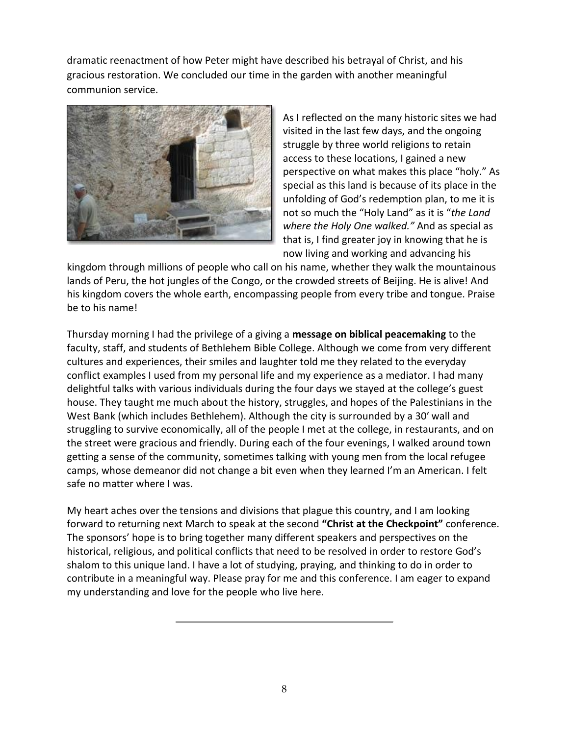dramatic reenactment of how Peter might have described his betrayal of Christ, and his gracious restoration. We concluded our time in the garden with another meaningful communion service.



As I reflected on the many historic sites we had visited in the last few days, and the ongoing struggle by three world religions to retain access to these locations, I gained a new perspective on what makes this place "holy." As special as this land is because of its place in the unfolding of God's redemption plan, to me it is not so much the "Holy Land" as it is "*the Land where the Holy One walked."* And as special as that is, I find greater joy in knowing that he is now living and working and advancing his

kingdom through millions of people who call on his name, whether they walk the mountainous lands of Peru, the hot jungles of the Congo, or the crowded streets of Beijing. He is alive! And his kingdom covers the whole earth, encompassing people from every tribe and tongue. Praise be to his name!

Thursday morning I had the privilege of a giving a **message on biblical peacemaking** to the faculty, staff, and students of Bethlehem Bible College. Although we come from very different cultures and experiences, their smiles and laughter told me they related to the everyday conflict examples I used from my personal life and my experience as a mediator. I had many delightful talks with various individuals during the four days we stayed at the college's guest house. They taught me much about the history, struggles, and hopes of the Palestinians in the West Bank (which includes Bethlehem). Although the city is surrounded by a 30′ wall and struggling to survive economically, all of the people I met at the college, in restaurants, and on the street were gracious and friendly. During each of the four evenings, I walked around town getting a sense of the community, sometimes talking with young men from the local refugee camps, whose demeanor did not change a bit even when they learned I'm an American. I felt safe no matter where I was.

My heart aches over the tensions and divisions that plague this country, and I am looking forward to returning next March to speak at the second **"Christ at the Checkpoint"** conference. The sponsors' hope is to bring together many different speakers and perspectives on the historical, religious, and political conflicts that need to be resolved in order to restore God's shalom to this unique land. I have a lot of studying, praying, and thinking to do in order to contribute in a meaningful way. Please pray for me and this conference. I am eager to expand my understanding and love for the people who live here.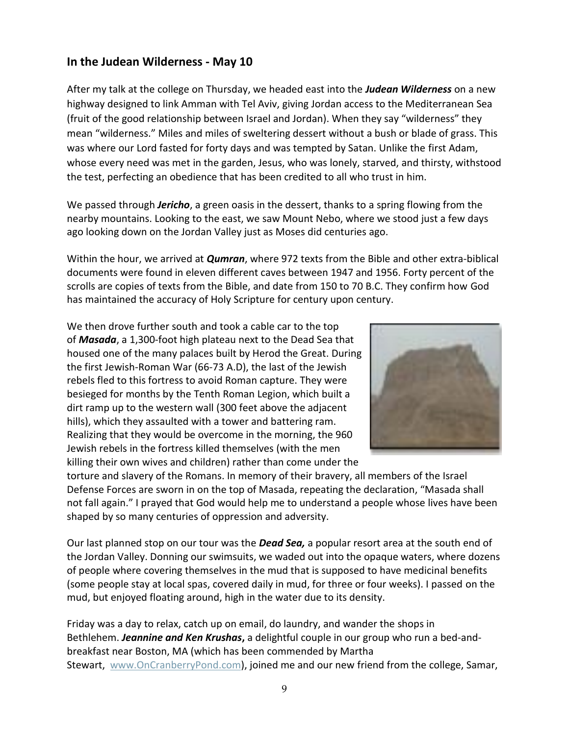## **In the Judean Wilderness - May 10**

After my talk at the college on Thursday, we headed east into the *Judean Wilderness* on a new highway designed to link Amman with Tel Aviv, giving Jordan access to the Mediterranean Sea (fruit of the good relationship between Israel and Jordan). When they say "wilderness" they mean "wilderness." Miles and miles of sweltering dessert without a bush or blade of grass. This was where our Lord fasted for forty days and was tempted by Satan. Unlike the first Adam, whose every need was met in the garden, Jesus, who was lonely, starved, and thirsty, withstood the test, perfecting an obedience that has been credited to all who trust in him.

We passed through *Jericho*, a green oasis in the dessert, thanks to a spring flowing from the nearby mountains. Looking to the east, we saw Mount Nebo, where we stood just a few days ago looking down on the Jordan Valley just as Moses did centuries ago.

Within the hour, we arrived at *Qumran*, where 972 texts from the Bible and other extra-biblical documents were found in eleven different caves between 1947 and 1956. Forty percent of the scrolls are copies of texts from the Bible, and date from 150 to 70 B.C. They confirm how God has maintained the accuracy of Holy Scripture for century upon century.

We then drove further south and took a cable car to the top of *Masada*, a 1,300-foot high plateau next to the Dead Sea that housed one of the many palaces built by Herod the Great. During the first Jewish-Roman War (66-73 A.D), the last of the Jewish rebels fled to this fortress to avoid Roman capture. They were besieged for months by the Tenth Roman Legion, which built a dirt ramp up to the western wall (300 feet above the adjacent hills), which they assaulted with a tower and battering ram. Realizing that they would be overcome in the morning, the 960 Jewish rebels in the fortress killed themselves (with the men killing their own wives and children) rather than come under the



torture and slavery of the Romans. In memory of their bravery, all members of the Israel Defense Forces are sworn in on the top of Masada, repeating the declaration, "Masada shall not fall again." I prayed that God would help me to understand a people whose lives have been shaped by so many centuries of oppression and adversity.

Our last planned stop on our tour was the *Dead Sea,* a popular resort area at the south end of the Jordan Valley. Donning our swimsuits, we waded out into the opaque waters, where dozens of people where covering themselves in the mud that is supposed to have medicinal benefits (some people stay at local spas, covered daily in mud, for three or four weeks). I passed on the mud, but enjoyed floating around, high in the water due to its density.

Friday was a day to relax, catch up on email, do laundry, and wander the shops in Bethlehem. *Jeannine and Ken Krushas***,** a delightful couple in our group who run a bed-andbreakfast near Boston, MA (which has been commended by Martha Stewart, [www.OnCranberryPond.com\)](http://www.oncranberrypond.com/), joined me and our new friend from the college, Samar,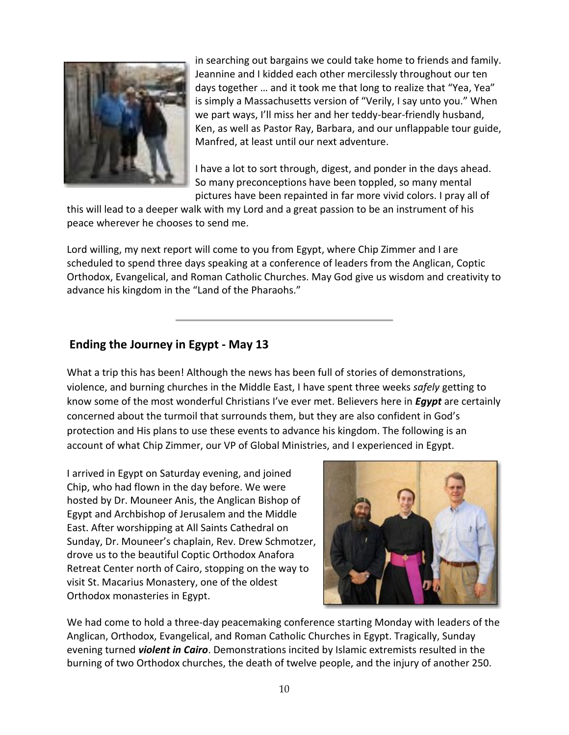

in searching out bargains we could take home to friends and family. Jeannine and I kidded each other mercilessly throughout our ten days together … and it took me that long to realize that "Yea, Yea" is simply a Massachusetts version of "Verily, I say unto you." When we part ways, I'll miss her and her teddy-bear-friendly husband, Ken, as well as Pastor Ray, Barbara, and our unflappable tour guide, Manfred, at least until our next adventure.

I have a lot to sort through, digest, and ponder in the days ahead. So many preconceptions have been toppled, so many mental pictures have been repainted in far more vivid colors. I pray all of

this will lead to a deeper walk with my Lord and a great passion to be an instrument of his peace wherever he chooses to send me.

Lord willing, my next report will come to you from Egypt, where Chip Zimmer and I are scheduled to spend three days speaking at a conference of leaders from the Anglican, Coptic Orthodox, Evangelical, and Roman Catholic Churches. May God give us wisdom and creativity to advance his kingdom in the "Land of the Pharaohs."

## **Ending the Journey in Egypt - May 13**

What a trip this has been! Although the news has been full of stories of demonstrations, violence, and burning churches in the Middle East, I have spent three weeks *safely* getting to know some of the most wonderful Christians I've ever met. Believers here in *Egypt* are certainly concerned about the turmoil that surrounds them, but they are also confident in God's protection and His plans to use these events to advance his kingdom. The following is an account of what Chip Zimmer, our VP of Global Ministries, and I experienced in Egypt.

I arrived in Egypt on Saturday evening, and joined Chip, who had flown in the day before. We were hosted by Dr. Mouneer Anis, the Anglican Bishop of Egypt and Archbishop of Jerusalem and the Middle East. After worshipping at All Saints Cathedral on Sunday, Dr. Mouneer's chaplain, Rev. Drew Schmotzer, drove us to the beautiful Coptic Orthodox Anafora Retreat Center north of Cairo, stopping on the way to visit St. Macarius Monastery, one of the oldest Orthodox monasteries in Egypt.



We had come to hold a three-day peacemaking conference starting Monday with leaders of the Anglican, Orthodox, Evangelical, and Roman Catholic Churches in Egypt. Tragically, Sunday evening turned *violent in Cairo*. Demonstrations incited by Islamic extremists resulted in the burning of two Orthodox churches, the death of twelve people, and the injury of another 250.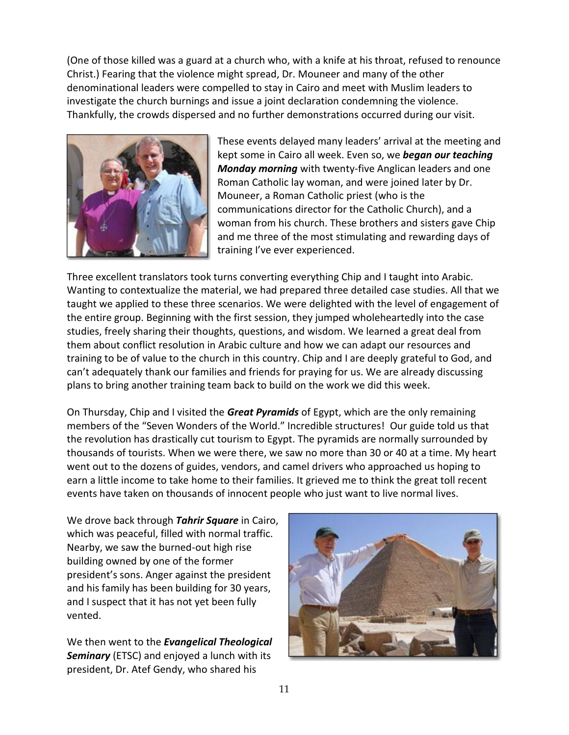(One of those killed was a guard at a church who, with a knife at his throat, refused to renounce Christ.) Fearing that the violence might spread, Dr. Mouneer and many of the other denominational leaders were compelled to stay in Cairo and meet with Muslim leaders to investigate the church burnings and issue a joint declaration condemning the violence. Thankfully, the crowds dispersed and no further demonstrations occurred during our visit.



These events delayed many leaders' arrival at the meeting and kept some in Cairo all week. Even so, we *began our teaching Monday morning* with twenty-five Anglican leaders and one Roman Catholic lay woman, and were joined later by Dr. Mouneer, a Roman Catholic priest (who is the communications director for the Catholic Church), and a woman from his church. These brothers and sisters gave Chip and me three of the most stimulating and rewarding days of training I've ever experienced.

Three excellent translators took turns converting everything Chip and I taught into Arabic. Wanting to contextualize the material, we had prepared three detailed case studies. All that we taught we applied to these three scenarios. We were delighted with the level of engagement of the entire group. Beginning with the first session, they jumped wholeheartedly into the case studies, freely sharing their thoughts, questions, and wisdom. We learned a great deal from them about conflict resolution in Arabic culture and how we can adapt our resources and training to be of value to the church in this country. Chip and I are deeply grateful to God, and can't adequately thank our families and friends for praying for us. We are already discussing plans to bring another training team back to build on the work we did this week.

On Thursday, Chip and I visited the *Great Pyramids* of Egypt, which are the only remaining members of the "Seven Wonders of the World." Incredible structures! Our guide told us that the revolution has drastically cut tourism to Egypt. The pyramids are normally surrounded by thousands of tourists. When we were there, we saw no more than 30 or 40 at a time. My heart went out to the dozens of guides, vendors, and camel drivers who approached us hoping to earn a little income to take home to their families. It grieved me to think the great toll recent events have taken on thousands of innocent people who just want to live normal lives.

We drove back through *Tahrir Square* in Cairo, which was peaceful, filled with normal traffic. Nearby, we saw the burned-out high rise building owned by one of the former president's sons. Anger against the president and his family has been building for 30 years, and I suspect that it has not yet been fully vented.

We then went to the *Evangelical Theological Seminary* (ETSC) and enjoyed a lunch with its president, Dr. Atef Gendy, who shared his